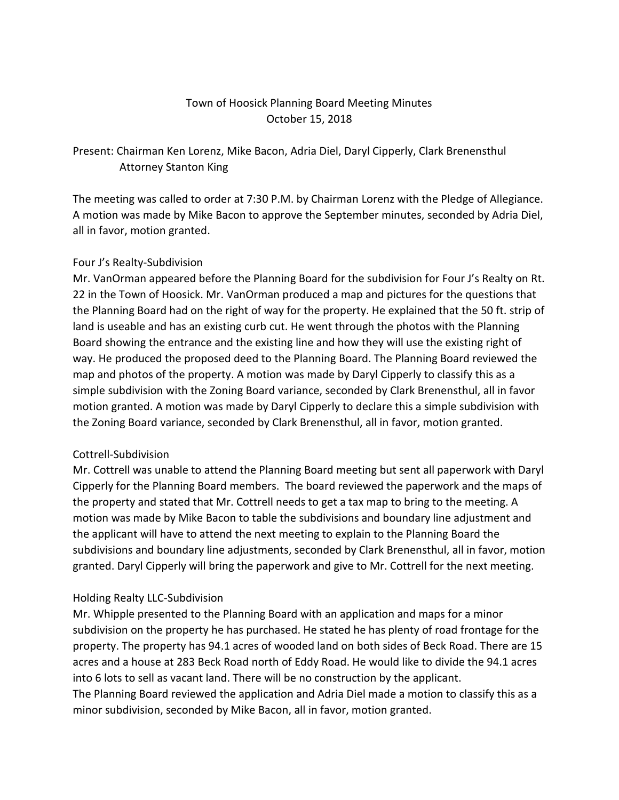### Town of Hoosick Planning Board Meeting Minutes October 15, 2018

# Present: Chairman Ken Lorenz, Mike Bacon, Adria Diel, Daryl Cipperly, Clark Brenensthul Attorney Stanton King

The meeting was called to order at 7:30 P.M. by Chairman Lorenz with the Pledge of Allegiance. A motion was made by Mike Bacon to approve the September minutes, seconded by Adria Diel, all in favor, motion granted.

### Four J's Realty-Subdivision

Mr. VanOrman appeared before the Planning Board for the subdivision for Four J's Realty on Rt. 22 in the Town of Hoosick. Mr. VanOrman produced a map and pictures for the questions that the Planning Board had on the right of way for the property. He explained that the 50 ft. strip of land is useable and has an existing curb cut. He went through the photos with the Planning Board showing the entrance and the existing line and how they will use the existing right of way. He produced the proposed deed to the Planning Board. The Planning Board reviewed the map and photos of the property. A motion was made by Daryl Cipperly to classify this as a simple subdivision with the Zoning Board variance, seconded by Clark Brenensthul, all in favor motion granted. A motion was made by Daryl Cipperly to declare this a simple subdivision with the Zoning Board variance, seconded by Clark Brenensthul, all in favor, motion granted.

#### Cottrell-Subdivision

Mr. Cottrell was unable to attend the Planning Board meeting but sent all paperwork with Daryl Cipperly for the Planning Board members. The board reviewed the paperwork and the maps of the property and stated that Mr. Cottrell needs to get a tax map to bring to the meeting. A motion was made by Mike Bacon to table the subdivisions and boundary line adjustment and the applicant will have to attend the next meeting to explain to the Planning Board the subdivisions and boundary line adjustments, seconded by Clark Brenensthul, all in favor, motion granted. Daryl Cipperly will bring the paperwork and give to Mr. Cottrell for the next meeting.

### Holding Realty LLC-Subdivision

Mr. Whipple presented to the Planning Board with an application and maps for a minor subdivision on the property he has purchased. He stated he has plenty of road frontage for the property. The property has 94.1 acres of wooded land on both sides of Beck Road. There are 15 acres and a house at 283 Beck Road north of Eddy Road. He would like to divide the 94.1 acres into 6 lots to sell as vacant land. There will be no construction by the applicant. The Planning Board reviewed the application and Adria Diel made a motion to classify this as a minor subdivision, seconded by Mike Bacon, all in favor, motion granted.